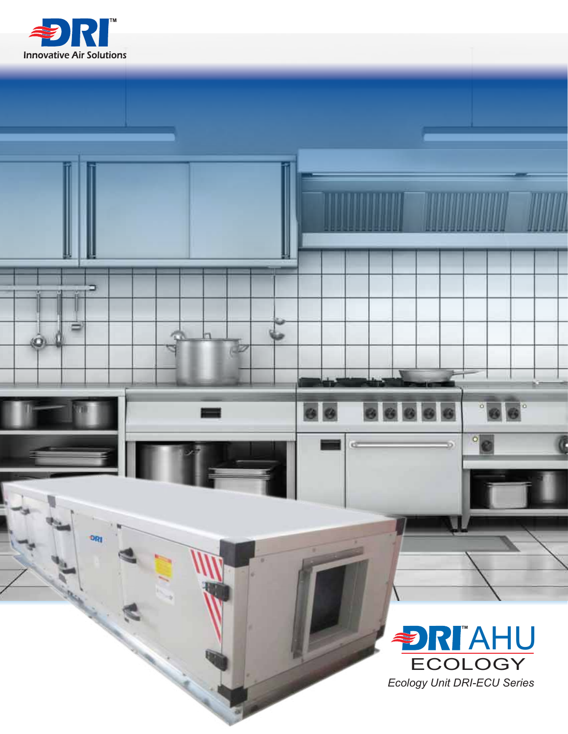

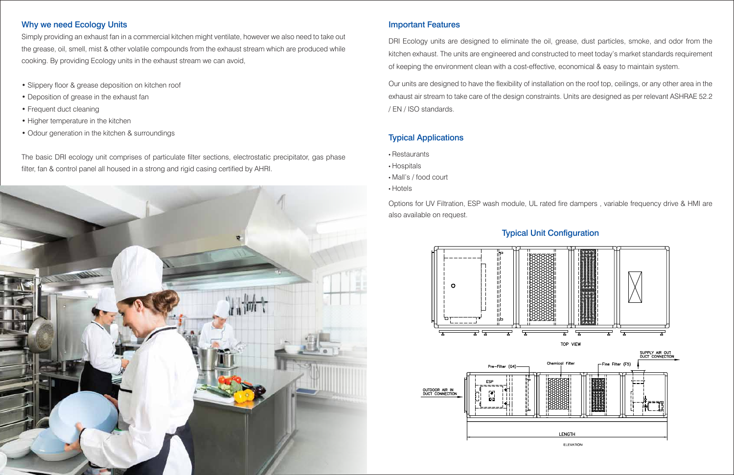## Why we need Ecology Units

Simply providing an exhaust fan in a commercial kitchen might ventilate, however we also need to take out the grease, oil, smell, mist & other volatile compounds from the exhaust stream which are produced while cooking. By providing Ecology units in the exhaust stream we can avoid,

- Slippery floor & grease deposition on kitchen roof
- Deposition of grease in the exhaust fan
- Frequent duct cleaning
- Higher temperature in the kitchen
- Odour generation in the kitchen & surroundings

DRI Ecology units are designed to eliminate the oil, grease, dust particles, smoke, and odor from the kitchen exhaust. The units are engineered and constructed to meet today's market standards requirement of keeping the environment clean with a cost-effective, economical & easy to maintain system.

The basic DRI ecology unit comprises of particulate filter sections, electrostatic precipitator, gas phase filter, fan & control panel all housed in a strong and rigid casing certified by AHRI.



## Important Features

Our units are designed to have the flexibility of installation on the roof top, ceilings, or any other area in the exhaust air stream to take care of the design constraints. Units are designed as per relevant ASHRAE 52.2 / EN / ISO standards.

## Typical Applications

- Restaurants
- Hospitals
- Mall's / food court
- Hotels

Options for UV Filtration, ESP wash module, UL rated fire dampers , variable frequency drive & HMI are also available on request.

# Typical Unit Configuration